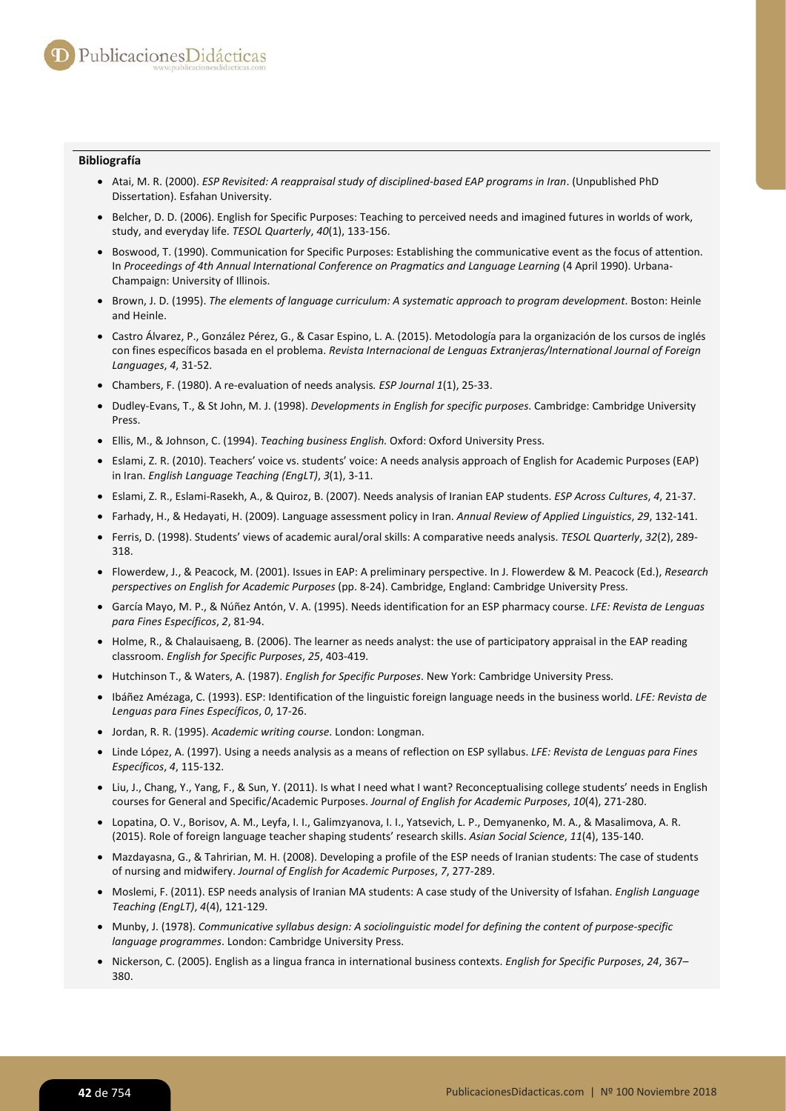## **Bibliografía**

- Atai, M. R. (2000). *ESP Revisited: A reappraisal study of disciplined-based EAP programs in Iran*. (Unpublished PhD Dissertation). Esfahan University.
- Belcher, D. D. (2006). English for Specific Purposes: Teaching to perceived needs and imagined futures in worlds of work, study, and everyday life. *TESOL Quarterly*, *40*(1), 133-156.
- Boswood, T. (1990). Communication for Specific Purposes: Establishing the communicative event as the focus of attention. In *Proceedings of 4th Annual International Conference on Pragmatics and Language Learning* (4 April 1990). Urbana-Champaign: University of Illinois.
- Brown, J. D. (1995). *The elements of language curriculum: A systematic approach to program development*. Boston: Heinle and Heinle.
- Castro Álvarez, P., González Pérez, G., & Casar Espino, L. A. (2015). Metodología para la organización de los cursos de inglés con fines específicos basada en el problema. *Revista Internacional de Lenguas Extranjeras/International Journal of Foreign Languages*, *4*, 31-52.
- Chambers, F. (1980). A re-evaluation of needs analysis*. ESP Journal 1*(1), 25-33.
- Dudley-Evans, T., & St John, M. J. (1998). *Developments in English for specific purposes*. Cambridge: Cambridge University Press.
- Ellis, M., & Johnson, C. (1994). *Teaching business English.* Oxford: Oxford University Press.
- Eslami, Z. R. (2010). Teachers' voice vs. students' voice: A needs analysis approach of English for Academic Purposes (EAP) in Iran. *English Language Teaching (EngLT)*, *3*(1), 3-11.
- Eslami, Z. R., Eslami-Rasekh, A., & Quiroz, B. (2007). Needs analysis of Iranian EAP students. *ESP Across Cultures*, *4*, 21-37.
- Farhady, H., & Hedayati, H. (2009). Language assessment policy in Iran. *Annual Review of Applied Linguistics*, *29*, 132-141.
- Ferris, D. (1998). Students' views of academic aural/oral skills: A comparative needs analysis. *TESOL Quarterly*, *32*(2), 289- 318.
- Flowerdew, J., & Peacock, M. (2001). Issues in EAP: A preliminary perspective. In J. Flowerdew & M. Peacock (Ed.), *Research perspectives on English for Academic Purposes* (pp. 8-24). Cambridge, England: Cambridge University Press.
- García Mayo, M. P., & Núñez Antón, V. A. (1995). Needs identification for an ESP pharmacy course. *LFE: Revista de Lenguas para Fines Específicos*, *2*, 81-94.
- Holme, R., & Chalauisaeng, B. (2006). The learner as needs analyst: the use of participatory appraisal in the EAP reading classroom. *English for Specific Purposes*, *25*, 403-419.
- Hutchinson T., & Waters, A. (1987). *English for Specific Purposes*. New York: Cambridge University Press.
- Ibáñez Amézaga, C. (1993). ESP: Identification of the linguistic foreign language needs in the business world. *LFE: Revista de Lenguas para Fines Específicos*, *0*, 17*-*26.
- Jordan, R. R. (1995). *Academic writing course*. London: Longman.
- Linde López, A. (1997). Using a needs analysis as a means of reflection on ESP syllabus. *LFE: Revista de Lenguas para Fines Específicos*, *4*, 115*-*132.
- Liu, J., Chang, Y., Yang, F., & Sun, Y. (2011). Is what I need what I want? Reconceptualising college students' needs in English courses for General and Specific/Academic Purposes. *Journal of English for Academic Purposes*, *10*(4), 271*-*280.
- Lopatina, O. V., Borisov, A. M., Leyfa, I. I., Galimzyanova, I. I., Yatsevich, L. P., Demyanenko, M. A., & Masalimova, A. R. (2015). Role of foreign language teacher shaping students' research skills. *Asian Social Science*, *11*(4), 135*-*140.
- Mazdayasna, G., & Tahririan, M. H. (2008). Developing a profile of the ESP needs of Iranian students: The case of students of nursing and midwifery. *Journal of English for Academic Purposes*, *7*, 277*-*289.
- Moslemi, F. (2011). ESP needs analysis of Iranian MA students: A case study of the University of Isfahan. *English Language Teaching (EngLT)*, *4*(4), 121*-*129.
- Munby, J. (1978). *Communicative syllabus design: A sociolinguistic model for defining the content of purpose-specific language programmes*. London: Cambridge University Press.
- Nickerson, C. (2005). English as a lingua franca in international business contexts. *English for Specific Purposes*, *24*, 367– 380.